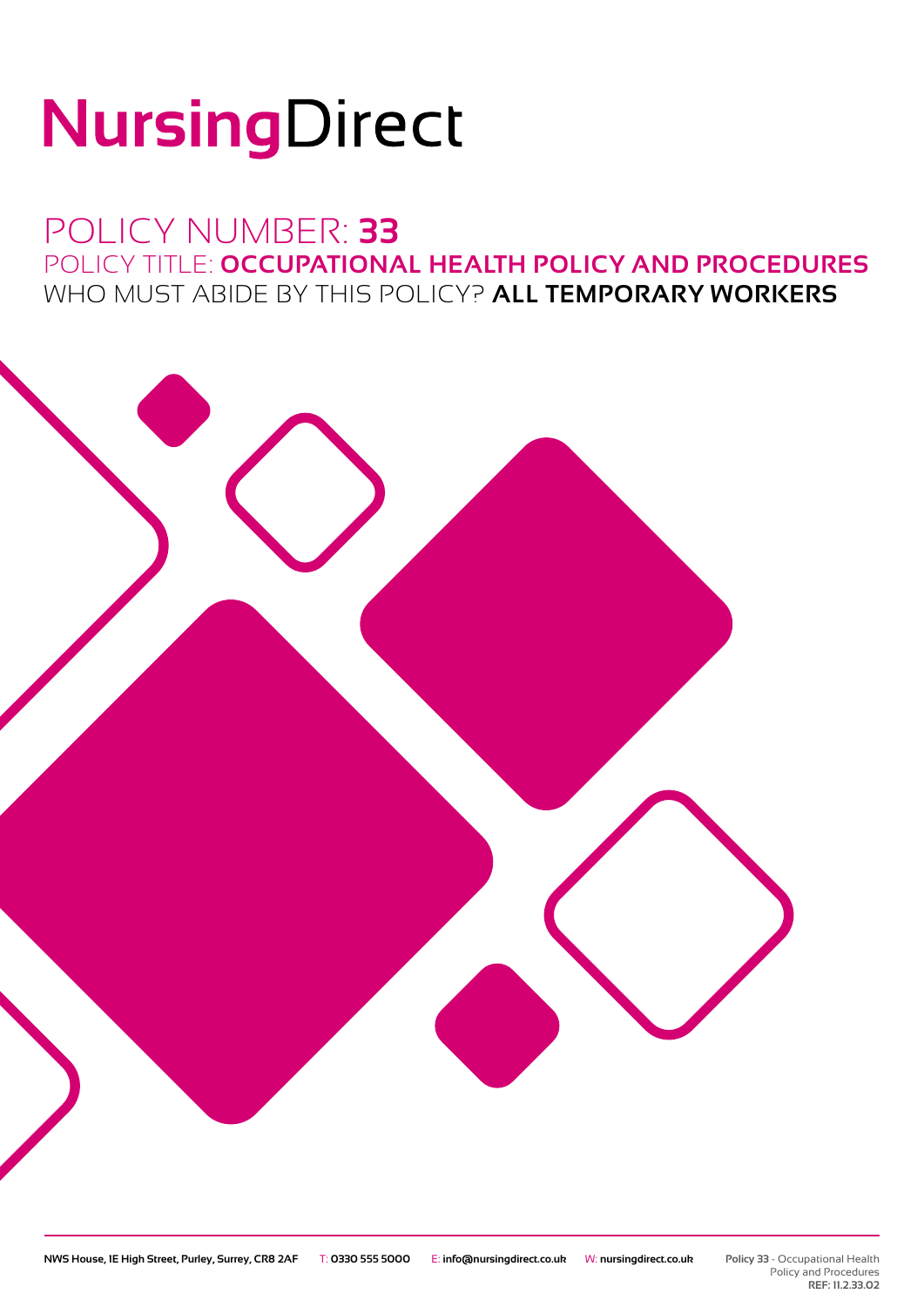# NursingDirect

### POLICY NUMBER: **33** POLICY TITLE: **OCCUPATIONAL HEALTH POLICY AND PROCEDURES** WHO MUST ABIDE BY THIS POLICY? **ALL TEMPORARY WORKERS**

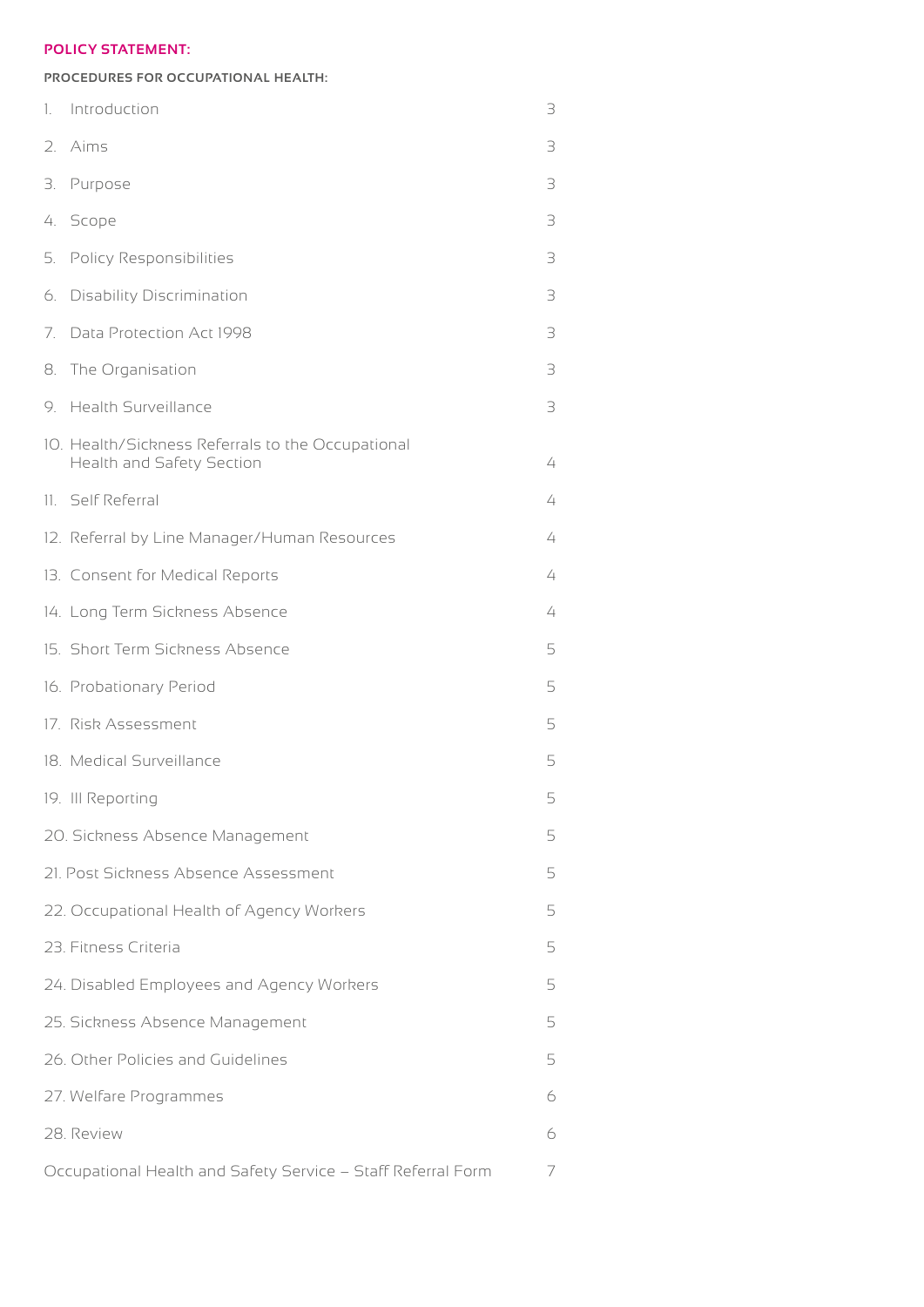#### **POLICY STATEMENT:**

#### **PROCEDURES FOR OCCUPATIONAL HEALTH:**

| 1.  | Introduction                                                                   | 3 |
|-----|--------------------------------------------------------------------------------|---|
| 2.  | Aims                                                                           | 3 |
| З.  | Purpose                                                                        | 3 |
| 4.  | Scope                                                                          | 3 |
| 5.  | <b>Policy Responsibilities</b>                                                 | 3 |
| 6.  | <b>Disability Discrimination</b>                                               | 3 |
| 7.  | Data Protection Act 1998                                                       | 3 |
| 8.  | The Organisation                                                               | 3 |
| 9.  | <b>Health Surveillance</b>                                                     | 3 |
|     | 10. Health/Sickness Referrals to the Occupational<br>Health and Safety Section | 4 |
| 11. | Self Referral                                                                  | 4 |
|     | 12. Referral by Line Manager/Human Resources                                   | 4 |
|     | 13. Consent for Medical Reports                                                | 4 |
|     | 14. Long Term Sickness Absence                                                 | 4 |
|     | 15. Short Term Sickness Absence                                                | 5 |
|     | 16. Probationary Period                                                        | 5 |
|     | 17. Risk Assessment                                                            | 5 |
|     | 18. Medical Surveillance                                                       | 5 |
|     | 19. III Reporting                                                              | 5 |
|     | 20. Sickness Absence Management                                                | 5 |
|     | 21. Post Sickness Absence Assessment                                           | 5 |
|     | 22. Occupational Health of Agency Workers                                      | 5 |
|     | 23. Fitness Criteria                                                           | 5 |
|     | 24. Disabled Employees and Agency Workers                                      | 5 |
|     | 25. Sickness Absence Management                                                | 5 |
|     | 26. Other Policies and Guidelines                                              | 5 |
|     | 27. Welfare Programmes                                                         | 6 |
|     | 28. Review                                                                     | 6 |
|     | Occupational Health and Safety Service - Staff Referral Form                   | 7 |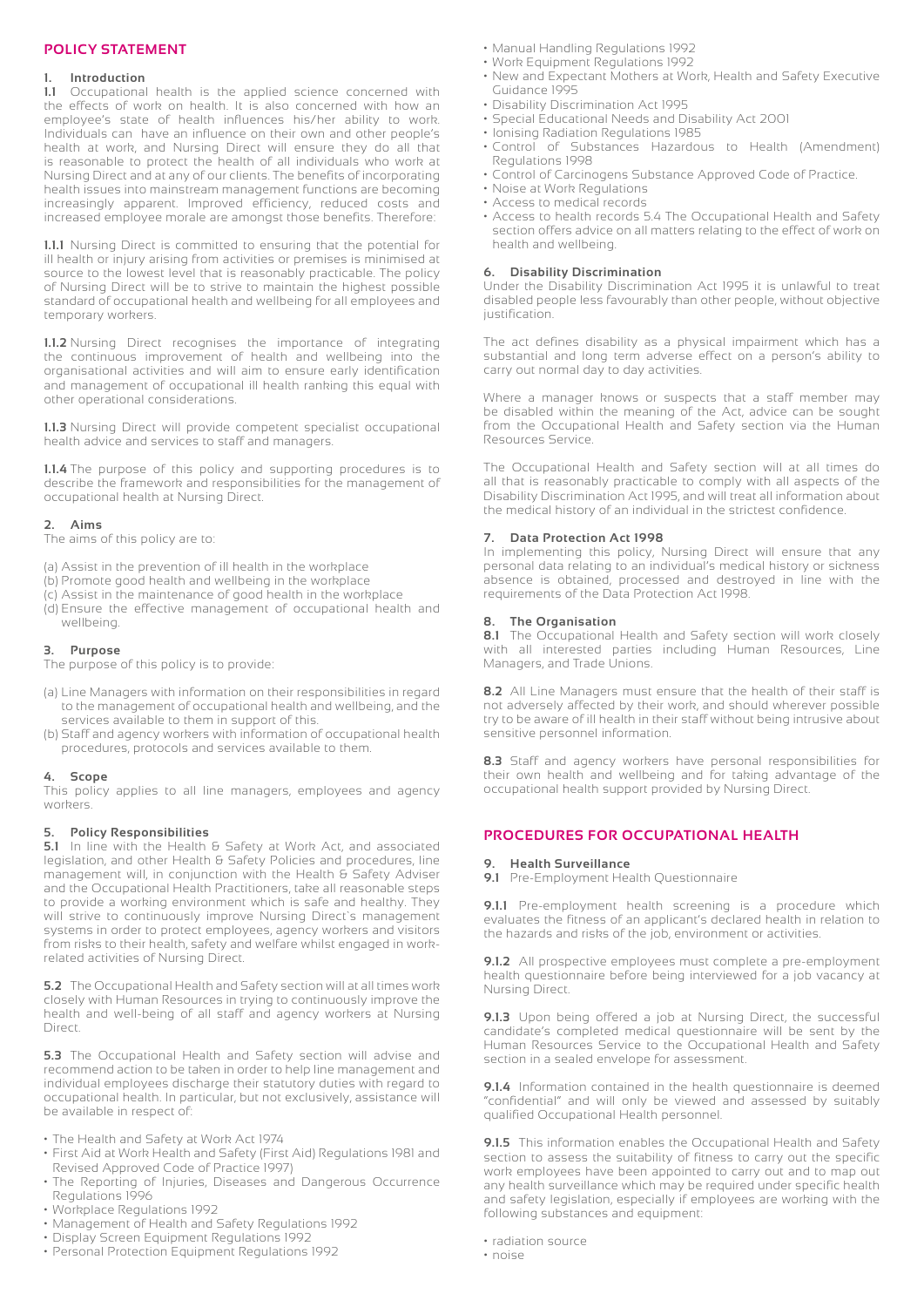#### **POLICY STATEMENT**

#### **1. Introduction**

**1.1** Occupational health is the applied science concerned with the effects of work on health. It is also concerned with how an employee's state of health influences his/her ability to work. Individuals can have an influence on their own and other people's health at work, and Nursing Direct will ensure they do all that is reasonable to protect the health of all individuals who work at Nursing Direct and at any of our clients. The benefits of incorporating health issues into mainstream management functions are becoming increasingly apparent. Improved efficiency, reduced costs and increased employee morale are amongst those benefits. Therefore:

**1.1.1** Nursing Direct is committed to ensuring that the potential for ill health or injury arising from activities or premises is minimised at source to the lowest level that is reasonably practicable. The policy of Nursing Direct will be to strive to maintain the highest possible standard of occupational health and wellbeing for all employees and temporary workers.

**1.1.2** Nursing Direct recognises the importance of integrating the continuous improvement of health and wellbeing into the organisational activities and will aim to ensure early identification and management of occupational ill health ranking this equal with other operational considerations.

**1.1.3** Nursing Direct will provide competent specialist occupational health advice and services to staff and managers.

**1.1.4** The purpose of this policy and supporting procedures is to describe the framework and responsibilities for the management of occupational health at Nursing Direct.

#### **2. Aims**

The aims of this policy are to:

- (a) Assist in the prevention of ill health in the workplace
- (b) Promote good health and wellbeing in the workplace
- (c) Assist in the maintenance of good health in the workplace (d) Ensure the effective management of occupational health and wellbeing.

#### **3. Purpose**

- The purpose of this policy is to provide:
- (a) Line Managers with information on their responsibilities in regard to the management of occupational health and wellbeing, and the services available to them in support of this.
- (b) Staff and agency workers with information of occupational health procedures, protocols and services available to them.

#### **4. Scope**

This policy applies to all line managers, employees and agency workers

#### **5. Policy Responsibilities**

**5.1** In line with the Health & Safety at Work Act, and associated legislation, and other Health & Safety Policies and procedures, line management will, in conjunction with the Health & Safety Adviser and the Occupational Health Practitioners, take all reasonable steps to provide a working environment which is safe and healthy. They will strive to continuously improve Nursing Direct`s management systems in order to protect employees, agency workers and visitors from risks to their health, safety and welfare whilst engaged in workrelated activities of Nursing Direct.

**5.2** The Occupational Health and Safety section will at all times work closely with Human Resources in trying to continuously improve the health and well-being of all staff and agency workers at Nursing Direct.

**5.3** The Occupational Health and Safety section will advise and recommend action to be taken in order to help line management and individual employees discharge their statutory duties with regard to occupational health. In particular, but not exclusively, assistance will be available in respect of:

- The Health and Safety at Work Act 1974
- First Aid at Work Health and Safety (First Aid) Regulations 1981 and Revised Approved Code of Practice 1997)
- The Reporting of Injuries, Diseases and Dangerous Occurrence Regulations 1996
- Workplace Regulations 1992
- Management of Health and Safety Regulations 1992
- Display Screen Equipment Regulations 1992
- Personal Protection Equipment Regulations 1992
- Manual Handling Regulations 1992
- Work Equipment Regulations 1992
- New and Expectant Mothers at Work, Health and Safety Executive Guidance 1995
- Disability Discrimination Act 1995
- Special Educational Needs and Disability Act 2001
- Ionising Radiation Regulations 1985
- Control of Substances Hazardous to Health (Amendment) Regulations 1998
- Control of Carcinogens Substance Approved Code of Practice.
- Noise at Work Regulations
- Access to medical records
- Access to health records 5.4 The Occupational Health and Safety section offers advice on all matters relating to the effect of work on health and wellbeing.

#### **6. Disability Discrimination**

Under the Disability Discrimination Act 1995 it is unlawful to treat disabled people less favourably than other people, without objective justification.

The act defines disability as a physical impairment which has a substantial and long term adverse effect on a person's ability to carry out normal day to day activities.

Where a manager knows or suspects that a staff member may be disabled within the meaning of the Act, advice can be sought from the Occupational Health and Safety section via the Human Resources Service.

The Occupational Health and Safety section will at all times do all that is reasonably practicable to comply with all aspects of the Disability Discrimination Act 1995, and will treat all information about the medical history of an individual in the strictest confidence.

#### **7. Data Protection Act 1998**

In implementing this policy, Nursing Direct will ensure that any personal data relating to an individual's medical history or sickness absence is obtained, processed and destroyed in line with the requirements of the Data Protection Act 1998.

#### **8. The Organisation**

**8.1** The Occupational Health and Safety section will work closely with all interested parties including Human Resources, Line Managers, and Trade Unions.

**8.2** All Line Managers must ensure that the health of their staff is not adversely affected by their work, and should wherever possible try to be aware of ill health in their staff without being intrusive about sensitive personnel information.

**8.3** Staff and agency workers have personal responsibilities for their own health and wellbeing and for taking advantage of the occupational health support provided by Nursing Direct.

#### **PROCEDURES FOR OCCUPATIONAL HEALTH**

#### **9. Health Surveillance**

**9.1** Pre-Employment Health Questionnaire

**9.1.1** Pre-employment health screening is a procedure which evaluates the fitness of an applicant's declared health in relation to the hazards and risks of the job, environment or activities.

**9.1.2** All prospective employees must complete a pre-employment health questionnaire before being interviewed for a job vacancy at Nursing Direct.

**9.1.3** Upon being offered a job at Nursing Direct, the successful candidate's completed medical questionnaire will be sent by the Human Resources Service to the Occupational Health and Safety section in a sealed envelope for assessment.

**9.1.4** Information contained in the health questionnaire is deemed "confidential" and will only be viewed and assessed by suitably qualified Occupational Health personnel.

**9.1.5** This information enables the Occupational Health and Safety section to assess the suitability of fitness to carry out the specific work employees have been appointed to carry out and to map out any health surveillance which may be required under specific health and safety legislation, especially if employees are working with the following substances and equipment:

• radiation source

• noise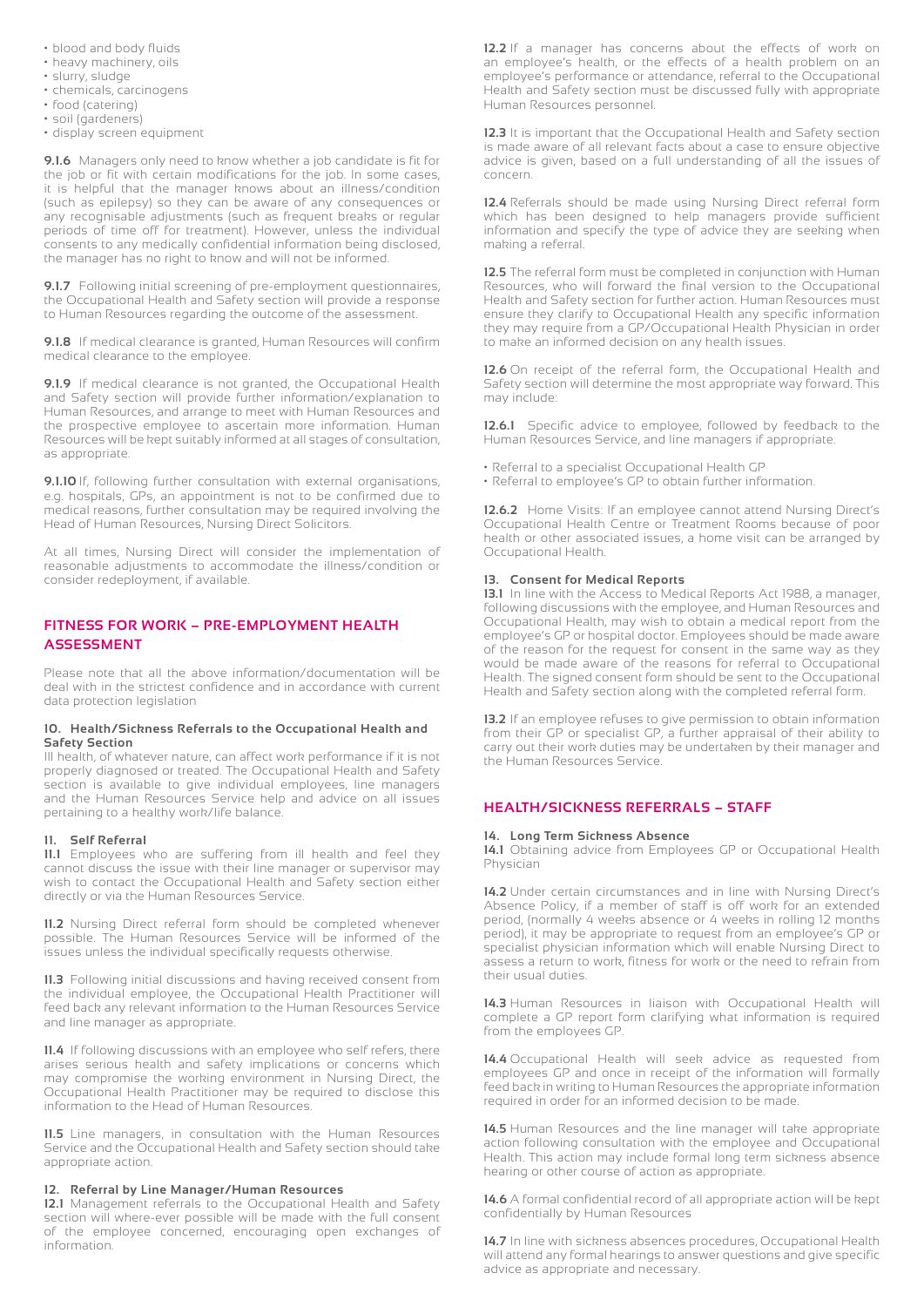- blood and body fluids
- heavy machinery, oils
- slurry, sludge
- chemicals, carcinogens
- food (catering)
- soil (gardeners)
- display screen equipment

**9.1.6** Managers only need to know whether a job candidate is fit for the job or fit with certain modifications for the job. In some cases, it is helpful that the manager knows about an illness/condition (such as epilepsy) so they can be aware of any consequences or any recognisable adjustments (such as frequent breaks or regular periods of time off for treatment). However, unless the individual consents to any medically confidential information being disclosed, the manager has no right to know and will not be informed.

**9.1.7** Following initial screening of pre-employment questionnaires, the Occupational Health and Safety section will provide a response to Human Resources regarding the outcome of the assessment.

**9.1.8** If medical clearance is granted, Human Resources will confirm medical clearance to the employee.

**9.1.9** If medical clearance is not granted, the Occupational Health and Safety section will provide further information/explanation to Human Resources, and arrange to meet with Human Resources and the prospective employee to ascertain more information. Human Resources will be kept suitably informed at all stages of consultation, as appropriate.

**9.1.10** If, following further consultation with external organisations, e.g. hospitals, GPs, an appointment is not to be confirmed due to medical reasons, further consultation may be required involving the Head of Human Resources, Nursing Direct Solicitors.

At all times, Nursing Direct will consider the implementation of reasonable adjustments to accommodate the illness/condition or consider redeployment, if available.

#### **FITNESS FOR WORK – PRE-EMPLOYMENT HEALTH ASSESSMENT**

Please note that all the above information/documentation will be deal with in the strictest confidence and in accordance with current data protection legislation

#### **10. Health/Sickness Referrals to the Occupational Health and Safety Section**

Ill health, of whatever nature, can affect work performance if it is not properly diagnosed or treated. The Occupational Health and Safety section is available to give individual employees, line managers and the Human Resources Service help and advice on all issues pertaining to a healthy work/life balance.

#### **11. Self Referral**

**11.1** Employees who are suffering from ill health and feel they cannot discuss the issue with their line manager or supervisor may wish to contact the Occupational Health and Safety section either directly or via the Human Resources Service.

**11.2** Nursing Direct referral form should be completed whenever possible. The Human Resources Service will be informed of the issues unless the individual specifically requests otherwise.

**11.3** Following initial discussions and having received consent from the individual employee, the Occupational Health Practitioner will feed back any relevant information to the Human Resources Service and line manager as appropriate.

**11.4** If following discussions with an employee who self refers, there arises serious health and safety implications or concerns which may compromise the working environment in Nursing Direct, the Occupational Health Practitioner may be required to disclose this information to the Head of Human Resources.

**11.5** Line managers, in consultation with the Human Resources Service and the Occupational Health and Safety section should take appropriate action.

#### **12. Referral by Line Manager/Human Resources**

**12.1** Management referrals to the Occupational Health and Safety section will where-ever possible will be made with the full consent of the employee concerned, encouraging open exchanges of information.

**12.2** If a manager has concerns about the effects of work on an employee's health, or the effects of a health problem on an employee's performance or attendance, referral to the Occupational Health and Safety section must be discussed fully with appropriate Human Resources personnel.

**12.3** It is important that the Occupational Health and Safety section is made aware of all relevant facts about a case to ensure objective advice is given, based on a full understanding of all the issues of concern.

**12.4** Referrals should be made using Nursing Direct referral form which has been designed to help managers provide sufficient information and specify the type of advice they are seeking when making a referral.

**12.5** The referral form must be completed in conjunction with Human Resources, who will forward the final version to the Occupational Health and Safety section for further action. Human Resources must ensure they clarify to Occupational Health any specific information they may require from a GP/Occupational Health Physician in order to make an informed decision on any health issues.

**12.6** On receipt of the referral form, the Occupational Health and Safety section will determine the most appropriate way forward. This may include:

**12.6.1** Specific advice to employee, followed by feedback to the Human Resources Service, and line managers if appropriate.

- Referral to a specialist Occupational Health GP
- Referral to employee's GP to obtain further information.

**12.6.2** Home Visits: If an employee cannot attend Nursing Direct's Occupational Health Centre or Treatment Rooms because of poor health or other associated issues, a home visit can be arranged by Occupational Health.

#### **13. Consent for Medical Reports**

**13.1** In line with the Access to Medical Reports Act 1988, a manager, following discussions with the employee, and Human Resources and Occupational Health, may wish to obtain a medical report from the employee's GP or hospital doctor. Employees should be made aware of the reason for the request for consent in the same way as they would be made aware of the reasons for referral to Occupational Health. The signed consent form should be sent to the Occupational Health and Safety section along with the completed referral form.

**13.2** If an employee refuses to give permission to obtain information from their GP or specialist GP, a further appraisal of their ability to carry out their work duties may be undertaken by their manager and the Human Resources Service.

#### **HEALTH/SICKNESS REFERRALS – STAFF**

#### **14. Long Term Sickness Absence**

**14.1** Obtaining advice from Employees GP or Occupational Health Physician

14.2 Under certain circumstances and in line with Nursing Direct's Absence Policy, if a member of staff is off work for an extended period, (normally 4 weeks absence or 4 weeks in rolling 12 months period), it may be appropriate to request from an employee's GP or specialist physician information which will enable Nursing Direct to assess a return to work, fitness for work or the need to refrain from their usual duties.

**14.3** Human Resources in liaison with Occupational Health will complete a GP report form clarifying what information is required from the employees GP.

**14.4** Occupational Health will seek advice as requested from employees GP and once in receipt of the information will formally feed back in writing to Human Resources the appropriate information required in order for an informed decision to be made.

14.5 Human Resources and the line manager will take appropriate action following consultation with the employee and Occupational Health. This action may include formal long term sickness absence hearing or other course of action as appropriate.

**14.6** A formal confidential record of all appropriate action will be kept confidentially by Human Resources

**14.7** In line with sickness absences procedures, Occupational Health will attend any formal hearings to answer questions and give specific advice as appropriate and necessary.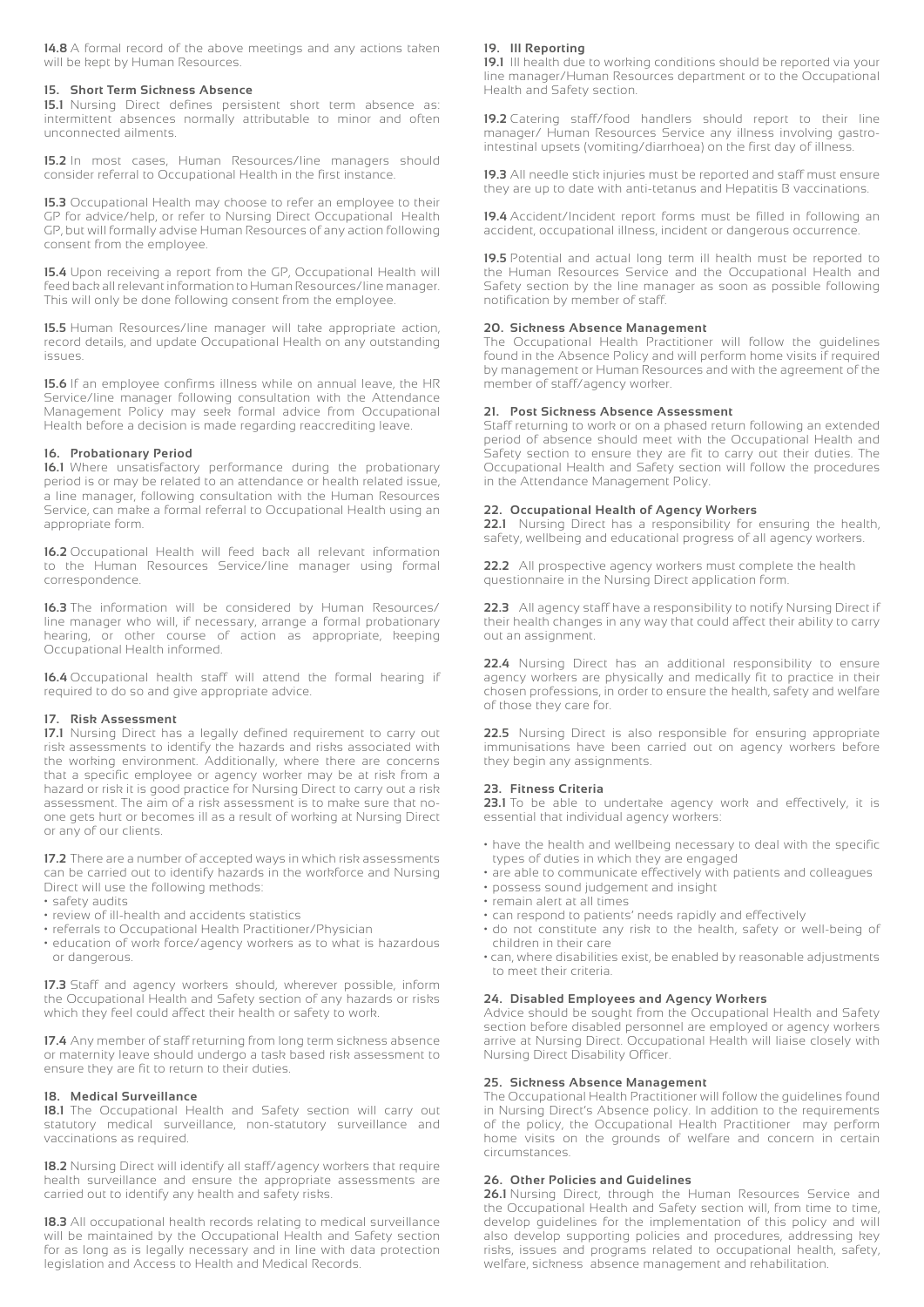**14.8** A formal record of the above meetings and any actions taken will be kept by Human Resources.

#### **15. Short Term Sickness Absence**

**15.1** Nursing Direct defines persistent short term absence as: intermittent absences normally attributable to minor and often unconnected ailments.

**15.2** In most cases, Human Resources/line managers should consider referral to Occupational Health in the first instance.

**15.3** Occupational Health may choose to refer an employee to their GP for advice/help, or refer to Nursing Direct Occupational Health GP, but will formally advise Human Resources of any action following consent from the employee.

**15.4** Upon receiving a report from the GP, Occupational Health will feed back all relevant information to Human Resources/line manager. This will only be done following consent from the employee.

**15.5** Human Resources/line manager will take appropriate action, record details, and update Occupational Health on any outstanding issues.

**15.6** If an employee confirms illness while on annual leave, the HR Service/line manager following consultation with the Attendance Management Policy may seek formal advice from Occupational Health before a decision is made regarding reaccrediting leave.

#### **16. Probationary Period**

**16.1** Where unsatisfactory performance during the probationary period is or may be related to an attendance or health related issue, a line manager, following consultation with the Human Resources Service, can make a formal referral to Occupational Health using an appropriate form.

**16.2** Occupational Health will feed back all relevant information to the Human Resources Service/line manager using formal correspondence.

**16.3** The information will be considered by Human Resources/ line manager who will, if necessary, arrange a formal probationary hearing, or other course of action as appropriate, keeping Occupational Health informed.

**16.4** Occupational health staff will attend the formal hearing if required to do so and give appropriate advice.

#### **17. Risk Assessment**

**17.1** Nursing Direct has a legally defined requirement to carry out risk assessments to identify the hazards and risks associated with the working environment. Additionally, where there are concerns that a specific employee or agency worker may be at risk from a hazard or risk it is good practice for Nursing Direct to carry out a risk assessment. The aim of a risk assessment is to make sure that noone gets hurt or becomes ill as a result of working at Nursing Direct or any of our clients.

**17.2** There are a number of accepted ways in which risk assessments can be carried out to identify hazards in the workforce and Nursing Direct will use the following methods:

- safety audits
- review of ill-health and accidents statistics
- referrals to Occupational Health Practitioner/Physician
- education of work force/agency workers as to what is hazardous or dangerous.

**17.3** Staff and agency workers should, wherever possible, inform the Occupational Health and Safety section of any hazards or risks which they feel could affect their health or safety to work.

**17.4** Any member of staff returning from long term sickness absence or maternity leave should undergo a task based risk assessment to ensure they are fit to return to their duties.

#### **18. Medical Surveillance**

**18.1** The Occupational Health and Safety section will carry out statutory medical surveillance, non-statutory surveillance and vaccinations as required.

**18.2** Nursing Direct will identify all staff/agency workers that require health surveillance and ensure the appropriate assessments are carried out to identify any health and safety risks.

**18.3** All occupational health records relating to medical surveillance will be maintained by the Occupational Health and Safety section for as long as is legally necessary and in line with data protection legislation and Access to Health and Medical Records.

#### **19. Ill Reporting**

**19.1** Ill health due to working conditions should be reported via your line manager/Human Resources department or to the Occupational Health and Safety section.

**19.2** Catering staff/food handlers should report to their line manager/ Human Resources Service any illness involving gastrointestinal upsets (vomiting/diarrhoea) on the first day of illness.

**19.3** All needle stick injuries must be reported and staff must ensure they are up to date with anti-tetanus and Hepatitis B vaccinations.

**19.4** Accident/Incident report forms must be filled in following an accident, occupational illness, incident or dangerous occurrence.

**19.5** Potential and actual long term ill health must be reported to the Human Resources Service and the Occupational Health and Safety section by the line manager as soon as possible following notification by member of staff.

#### **20. Sickness Absence Management**

The Occupational Health Practitioner will follow the guidelines found in the Absence Policy and will perform home visits if required by management or Human Resources and with the agreement of the member of staff/agency worker.

#### **21. Post Sickness Absence Assessment**

Staff returning to work or on a phased return following an extended period of absence should meet with the Occupational Health and Safety section to ensure they are fit to carry out their duties. The Occupational Health and Safety section will follow the procedures in the Attendance Management Policy.

#### **22. Occupational Health of Agency Workers**

**22.1** Nursing Direct has a responsibility for ensuring the health, safety, wellbeing and educational progress of all agency workers.

**22.2** All prospective agency workers must complete the health questionnaire in the Nursing Direct application form.

**22.3** All agency staff have a responsibility to notify Nursing Direct if their health changes in any way that could affect their ability to carry out an assignment.

**22.4** Nursing Direct has an additional responsibility to ensure agency workers are physically and medically fit to practice in their chosen professions, in order to ensure the health, safety and welfare of those they care for.

**22.5** Nursing Direct is also responsible for ensuring appropriate immunisations have been carried out on agency workers before they begin any assignments.

#### **23. Fitness Criteria**

23.1 To be able to undertake agency work and effectively, it is essential that individual agency workers:

- have the health and wellbeing necessary to deal with the specific types of duties in which they are engaged
- are able to communicate effectively with patients and colleagues
- possess sound judgement and insight
- remain alert at all times
- can respond to patients' needs rapidly and effectively
- do not constitute any risk to the health, safety or well-being of children in their care
- can, where disabilities exist, be enabled by reasonable adjustments to meet their criteria.

#### **24. Disabled Employees and Agency Workers**

Advice should be sought from the Occupational Health and Safety section before disabled personnel are employed or agency workers arrive at Nursing Direct. Occupational Health will liaise closely with Nursing Direct Disability Officer.

#### **25. Sickness Absence Management**

The Occupational Health Practitioner will follow the guidelines found in Nursing Direct's Absence policy. In addition to the requirements of the policy, the Occupational Health Practitioner may perform home visits on the grounds of welfare and concern in certain circumstances.

#### **26. Other Policies and Guidelines**

**26.1** Nursing Direct, through the Human Resources Service and the Occupational Health and Safety section will, from time to time, develop guidelines for the implementation of this policy and will also develop supporting policies and procedures, addressing key risks, issues and programs related to occupational health, safety, welfare, sickness absence management and rehabilitation.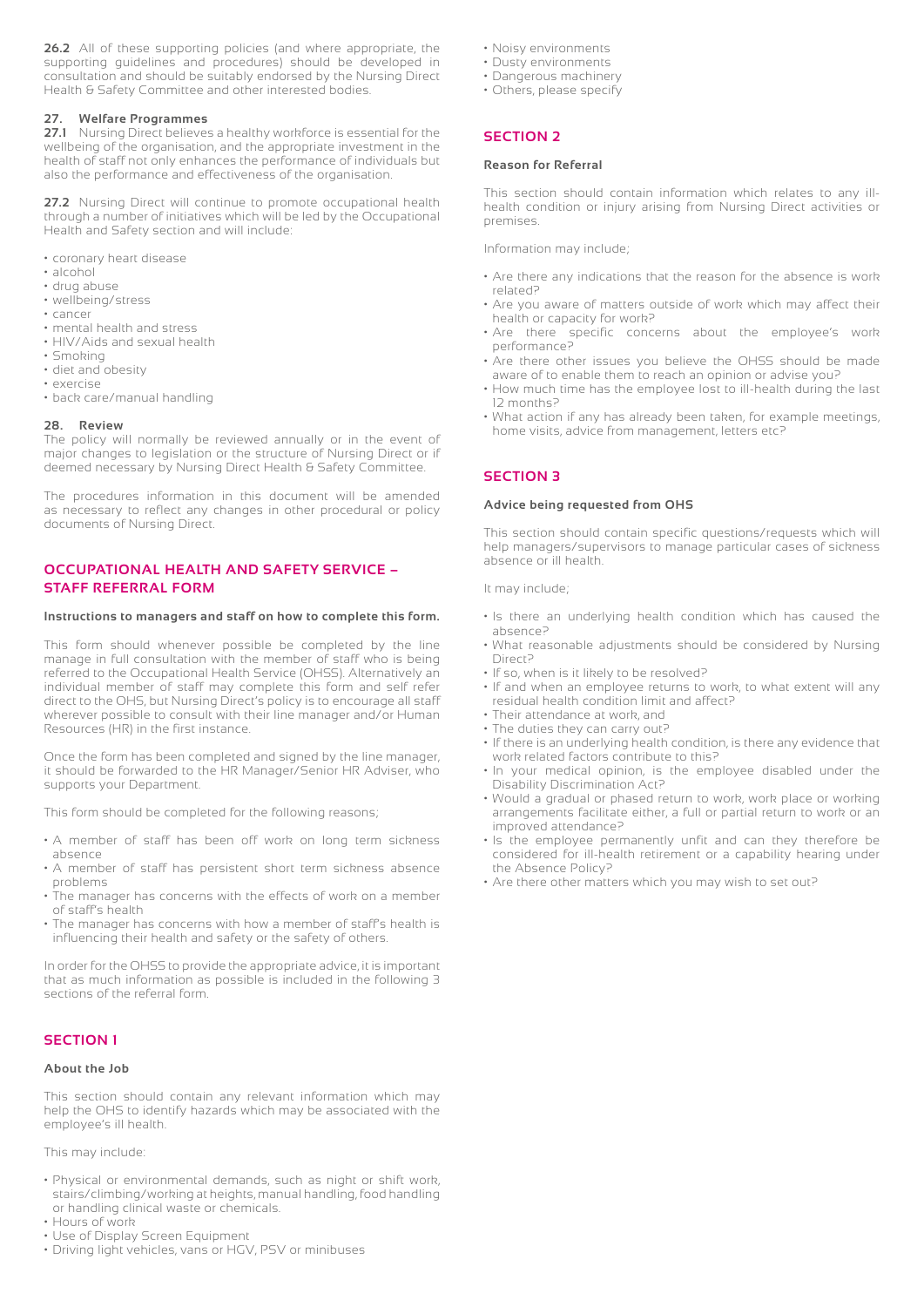**26.2** All of these supporting policies (and where appropriate, the supporting guidelines and procedures) should be developed in consultation and should be suitably endorsed by the Nursing Direct Health & Safety Committee and other interested bodies.

#### **27. Welfare Programmes**

**27.1** Nursing Direct believes a healthy workforce is essential for the wellbeing of the organisation, and the appropriate investment in the health of staff not only enhances the performance of individuals but also the performance and effectiveness of the organisation.

**27.2** Nursing Direct will continue to promote occupational health through a number of initiatives which will be led by the Occupational Health and Safety section and will include:

- coronary heart disease
- alcohol
- drug abuse
- wellbeing/stress
- cancer
- mental health and stress • HIV/Aids and sexual health
- Smoking
- diet and obesity
- exercise
- back care/manual handling

#### **28. Review**

The policy will normally be reviewed annually or in the event of major changes to legislation or the structure of Nursing Direct or if deemed necessary by Nursing Direct Health & Safety Committee.

The procedures information in this document will be amended as necessary to reflect any changes in other procedural or policy documents of Nursing Direct.

#### **OCCUPATIONAL HEALTH AND SAFETY SERVICE – STAFF REFERRAL FORM**

#### **Instructions to managers and staff on how to complete this form.**

This form should whenever possible be completed by the line manage in full consultation with the member of staff who is being referred to the Occupational Health Service (OHSS). Alternatively an individual member of staff may complete this form and self refer direct to the OHS, but Nursing Direct's policy is to encourage all staff wherever possible to consult with their line manager and/or Human Resources (HR) in the first instance.

Once the form has been completed and signed by the line manager, it should be forwarded to the HR Manager/Senior HR Adviser, who supports your Department.

This form should be completed for the following reasons;

- A member of staff has been off work on long term sickness absence
- A member of staff has persistent short term sickness absence problems
- The manager has concerns with the effects of work on a member of staff's health
- The manager has concerns with how a member of staff's health is influencing their health and safety or the safety of others.

In order for the OHSS to provide the appropriate advice, it is important that as much information as possible is included in the following 3 sections of the referral form.

#### **SECTION 1**

#### **About the Job**

This section should contain any relevant information which may help the OHS to identify hazards which may be associated with the employee's ill health.

This may include:

- Physical or environmental demands, such as night or shift work, stairs/climbing/working at heights, manual handling, food handling or handling clinical waste or chemicals.
- Hours of work
- Use of Display Screen Equipment
- Driving light vehicles, vans or HGV, PSV or minibuses
- Noisy environments
- Dusty environments
- Dangerous machinery
- Others, please specify

#### **SECTION 2**

#### **Reason for Referral**

This section should contain information which relates to any illhealth condition or injury arising from Nursing Direct activities or premises.

Information may include;

- Are there any indications that the reason for the absence is work related?
- Are you aware of matters outside of work which may affect their health or capacity for work?
- Are there specific concerns about the employee's work performance?
- Are there other issues you believe the OHSS should be made aware of to enable them to reach an opinion or advise you?
- How much time has the employee lost to ill-health during the last 12 months?
- What action if any has already been taken, for example meetings, home visits, advice from management, letters etc?

#### **SECTION 3**

#### **Advice being requested from OHS**

This section should contain specific questions/requests which will help managers/supervisors to manage particular cases of sickness absence or ill health.

It may include;

- Is there an underlying health condition which has caused the absence?
- What reasonable adjustments should be considered by Nursing Direct?
- If so, when is it likely to be resolved?
- If and when an employee returns to work, to what extent will any residual health condition limit and affect?
- Their attendance at work, and
- The duties they can carry out?
- If there is an underlying health condition, is there any evidence that work related factors contribute to this?
- In your medical opinion, is the employee disabled under the Disability Discrimination Act?
- Would a gradual or phased return to work, work place or working arrangements facilitate either, a full or partial return to work or an improved attendance?
- Is the employee permanently unfit and can they therefore be considered for ill-health retirement or a capability hearing under the Absence Policy?
- Are there other matters which you may wish to set out?